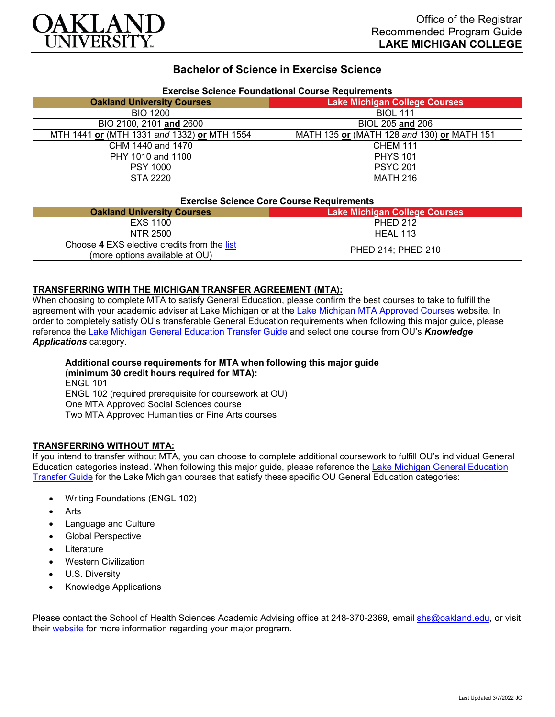

### **Bachelor of Science in Exercise Science**

| Exercise Science Foundational Course Requirements |                                            |
|---------------------------------------------------|--------------------------------------------|
| <b>Oakland University Courses</b>                 | Lake Michigan College Courses              |
| <b>BIO 1200</b>                                   | <b>BIOL 111</b>                            |
| BIO 2100, 2101 and 2600                           | BIOL 205 and 206                           |
| MTH 1441 or (MTH 1331 and 1332) or MTH 1554       | MATH 135 or (MATH 128 and 130) or MATH 151 |
| CHM 1440 and 1470                                 | <b>CHEM 111</b>                            |
| PHY 1010 and 1100                                 | <b>PHYS 101</b>                            |
| <b>PSY 1000</b>                                   | <b>PSYC 201</b>                            |
| STA 2220                                          | <b>MATH 216</b>                            |

# **Exercise Science Foundational Course Requirements**

#### **Exercise Science Core Course Requirements**

| <b>Oakland University Courses</b>                                             | Lake Michigan College Courses |
|-------------------------------------------------------------------------------|-------------------------------|
| EXS 1100                                                                      | <b>PHED 212</b>               |
| NTR 2500                                                                      | HEAL 113                      |
| Choose 4 EXS elective credits from the list<br>(more options available at OU) | PHED 214; PHED 210            |

#### **TRANSFERRING WITH THE MICHIGAN TRANSFER AGREEMENT (MTA):**

When choosing to complete MTA to satisfy General Education, please confirm the best courses to take to fulfill the agreement with your academic adviser at Lake Michigan or at the [Lake Michigan MTA Approved Courses](https://www.lakemichigancollege.edu/academics/educational-goals/transfer/transfer-information) website. In order to completely satisfy OU's transferable General Education requirements when following this major guide, please reference the [Lake Michigan General Education Transfer Guide](https://www.oakland.edu/Assets/Oakland/program-guides/lake-michigan-college/university-general-education-requirements/Lake%20Michigan%20Gen%20Ed.pdf) and select one course from OU's *Knowledge Applications* category.

## **Additional course requirements for MTA when following this major guide (minimum 30 credit hours required for MTA):**

ENGL 101 ENGL 102 (required prerequisite for coursework at OU) One MTA Approved Social Sciences course Two MTA Approved Humanities or Fine Arts courses

#### **TRANSFERRING WITHOUT MTA:**

If you intend to transfer without MTA, you can choose to complete additional coursework to fulfill OU's individual General Education categories instead. When following this major guide, please reference the [Lake Michigan General Education](https://www.oakland.edu/Assets/Oakland/program-guides/lake-michigan-college/university-general-education-requirements/Lake%20Michigan%20Gen%20Ed.pdf)  [Transfer Guide](https://www.oakland.edu/Assets/Oakland/program-guides/lake-michigan-college/university-general-education-requirements/Lake%20Michigan%20Gen%20Ed.pdf) for the Lake Michigan courses that satisfy these specific OU General Education categories:

- Writing Foundations (ENGL 102)
- Arts
- Language and Culture
- Global Perspective
- **Literature**
- Western Civilization
- U.S. Diversity
- Knowledge Applications

Please contact the School of Health Sciences Academic Advising office at 248-370-2369, email [shs@oakland.edu,](mailto:shs@oakland.edu) or visit their [website](http://www.oakland.edu/shs/advising) for more information regarding your major program.